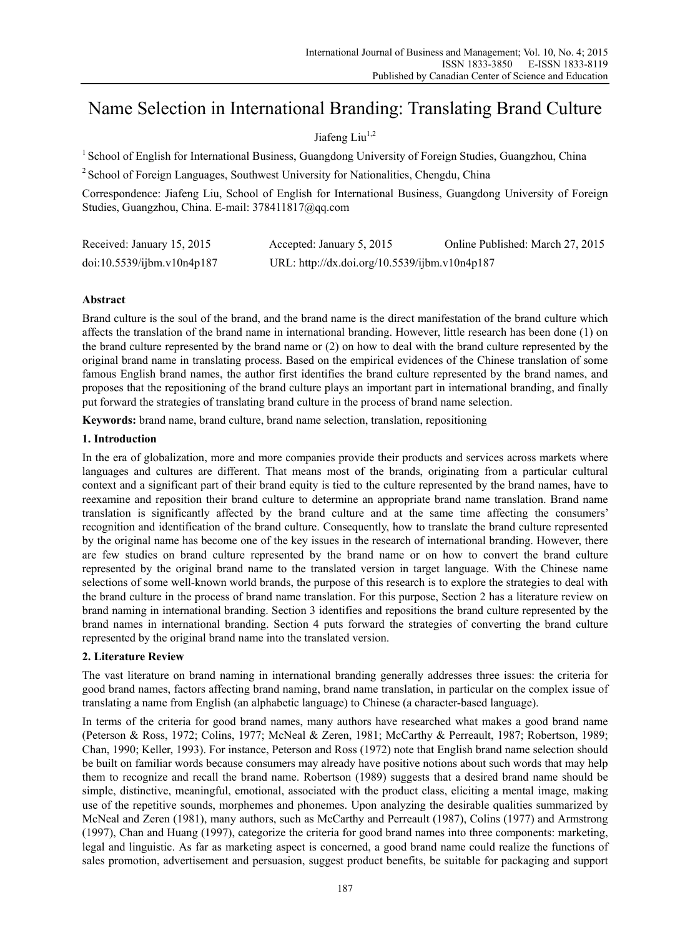# Name Selection in International Branding: Translating Brand Culture

# Jiafeng Liu $^{1,2}$

<sup>1</sup> School of English for International Business, Guangdong University of Foreign Studies, Guangzhou, China

<sup>2</sup> School of Foreign Languages, Southwest University for Nationalities, Chengdu, China

Correspondence: Jiafeng Liu, School of English for International Business, Guangdong University of Foreign Studies, Guangzhou, China. E-mail: 378411817@qq.com

| Received: January 15, 2015 | Accepted: January 5, 2015                     | Online Published: March 27, 2015 |
|----------------------------|-----------------------------------------------|----------------------------------|
| doi:10.5539/ijbm.v10n4p187 | URL: http://dx.doi.org/10.5539/ijbm.v10n4p187 |                                  |

# **Abstract**

Brand culture is the soul of the brand, and the brand name is the direct manifestation of the brand culture which affects the translation of the brand name in international branding. However, little research has been done (1) on the brand culture represented by the brand name or (2) on how to deal with the brand culture represented by the original brand name in translating process. Based on the empirical evidences of the Chinese translation of some famous English brand names, the author first identifies the brand culture represented by the brand names, and proposes that the repositioning of the brand culture plays an important part in international branding, and finally put forward the strategies of translating brand culture in the process of brand name selection.

**Keywords:** brand name, brand culture, brand name selection, translation, repositioning

# **1. Introduction**

In the era of globalization, more and more companies provide their products and services across markets where languages and cultures are different. That means most of the brands, originating from a particular cultural context and a significant part of their brand equity is tied to the culture represented by the brand names, have to reexamine and reposition their brand culture to determine an appropriate brand name translation. Brand name translation is significantly affected by the brand culture and at the same time affecting the consumers' recognition and identification of the brand culture. Consequently, how to translate the brand culture represented by the original name has become one of the key issues in the research of international branding. However, there are few studies on brand culture represented by the brand name or on how to convert the brand culture represented by the original brand name to the translated version in target language. With the Chinese name selections of some well-known world brands, the purpose of this research is to explore the strategies to deal with the brand culture in the process of brand name translation. For this purpose, Section 2 has a literature review on brand naming in international branding. Section 3 identifies and repositions the brand culture represented by the brand names in international branding. Section 4 puts forward the strategies of converting the brand culture represented by the original brand name into the translated version.

## **2. Literature Review**

The vast literature on brand naming in international branding generally addresses three issues: the criteria for good brand names, factors affecting brand naming, brand name translation, in particular on the complex issue of translating a name from English (an alphabetic language) to Chinese (a character-based language).

In terms of the criteria for good brand names, many authors have researched what makes a good brand name (Peterson & Ross, 1972; Colins, 1977; McNeal & Zeren, 1981; McCarthy & Perreault, 1987; Robertson, 1989; Chan, 1990; Keller, 1993). For instance, Peterson and Ross (1972) note that English brand name selection should be built on familiar words because consumers may already have positive notions about such words that may help them to recognize and recall the brand name. Robertson (1989) suggests that a desired brand name should be simple, distinctive, meaningful, emotional, associated with the product class, eliciting a mental image, making use of the repetitive sounds, morphemes and phonemes. Upon analyzing the desirable qualities summarized by McNeal and Zeren (1981), many authors, such as McCarthy and Perreault (1987), Colins (1977) and Armstrong (1997), Chan and Huang (1997), categorize the criteria for good brand names into three components: marketing, legal and linguistic. As far as marketing aspect is concerned, a good brand name could realize the functions of sales promotion, advertisement and persuasion, suggest product benefits, be suitable for packaging and support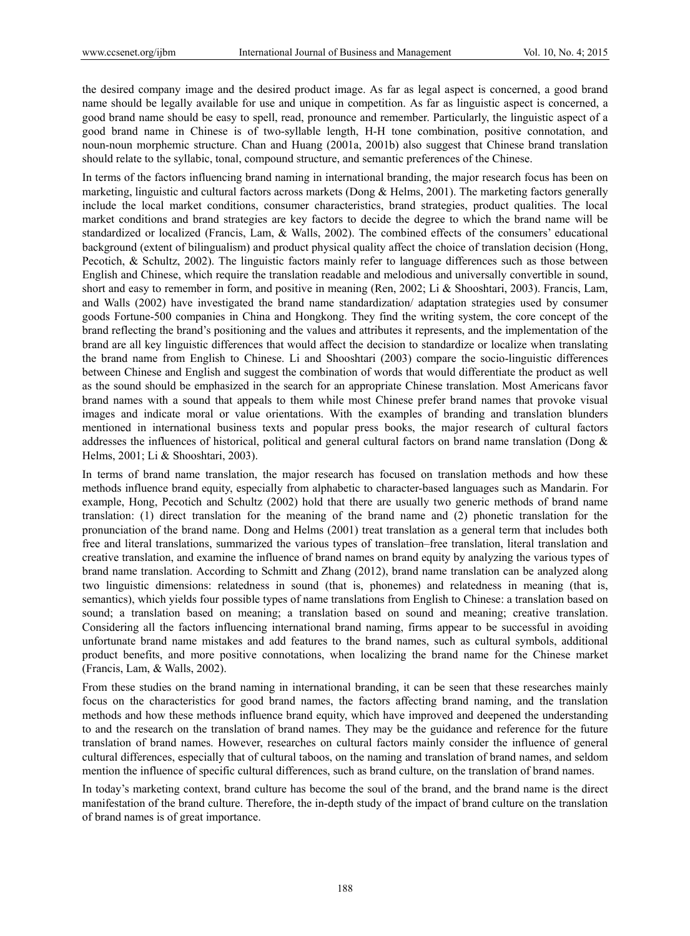the desired company image and the desired product image. As far as legal aspect is concerned, a good brand name should be legally available for use and unique in competition. As far as linguistic aspect is concerned, a good brand name should be easy to spell, read, pronounce and remember. Particularly, the linguistic aspect of a good brand name in Chinese is of two-syllable length, H-H tone combination, positive connotation, and noun-noun morphemic structure. Chan and Huang (2001a, 2001b) also suggest that Chinese brand translation should relate to the syllabic, tonal, compound structure, and semantic preferences of the Chinese.

In terms of the factors influencing brand naming in international branding, the major research focus has been on marketing, linguistic and cultural factors across markets (Dong & Helms, 2001). The marketing factors generally include the local market conditions, consumer characteristics, brand strategies, product qualities. The local market conditions and brand strategies are key factors to decide the degree to which the brand name will be standardized or localized (Francis, Lam, & Walls, 2002). The combined effects of the consumers' educational background (extent of bilingualism) and product physical quality affect the choice of translation decision (Hong, Pecotich, & Schultz, 2002). The linguistic factors mainly refer to language differences such as those between English and Chinese, which require the translation readable and melodious and universally convertible in sound, short and easy to remember in form, and positive in meaning (Ren, 2002; Li & Shooshtari, 2003). Francis, Lam, and Walls (2002) have investigated the brand name standardization/ adaptation strategies used by consumer goods Fortune-500 companies in China and Hongkong. They find the writing system, the core concept of the brand reflecting the brand's positioning and the values and attributes it represents, and the implementation of the brand are all key linguistic differences that would affect the decision to standardize or localize when translating the brand name from English to Chinese. Li and Shooshtari (2003) compare the socio-linguistic differences between Chinese and English and suggest the combination of words that would differentiate the product as well as the sound should be emphasized in the search for an appropriate Chinese translation. Most Americans favor brand names with a sound that appeals to them while most Chinese prefer brand names that provoke visual images and indicate moral or value orientations. With the examples of branding and translation blunders mentioned in international business texts and popular press books, the major research of cultural factors addresses the influences of historical, political and general cultural factors on brand name translation (Dong & Helms, 2001; Li & Shooshtari, 2003).

In terms of brand name translation, the major research has focused on translation methods and how these methods influence brand equity, especially from alphabetic to character-based languages such as Mandarin. For example, Hong, Pecotich and Schultz (2002) hold that there are usually two generic methods of brand name translation: (1) direct translation for the meaning of the brand name and (2) phonetic translation for the pronunciation of the brand name. Dong and Helms (2001) treat translation as a general term that includes both free and literal translations, summarized the various types of translation–free translation, literal translation and creative translation, and examine the influence of brand names on brand equity by analyzing the various types of brand name translation. According to Schmitt and Zhang (2012), brand name translation can be analyzed along two linguistic dimensions: relatedness in sound (that is, phonemes) and relatedness in meaning (that is, semantics), which yields four possible types of name translations from English to Chinese: a translation based on sound; a translation based on meaning; a translation based on sound and meaning; creative translation. Considering all the factors influencing international brand naming, firms appear to be successful in avoiding unfortunate brand name mistakes and add features to the brand names, such as cultural symbols, additional product benefits, and more positive connotations, when localizing the brand name for the Chinese market (Francis, Lam, & Walls, 2002).

From these studies on the brand naming in international branding, it can be seen that these researches mainly focus on the characteristics for good brand names, the factors affecting brand naming, and the translation methods and how these methods influence brand equity, which have improved and deepened the understanding to and the research on the translation of brand names. They may be the guidance and reference for the future translation of brand names. However, researches on cultural factors mainly consider the influence of general cultural differences, especially that of cultural taboos, on the naming and translation of brand names, and seldom mention the influence of specific cultural differences, such as brand culture, on the translation of brand names.

In today's marketing context, brand culture has become the soul of the brand, and the brand name is the direct manifestation of the brand culture. Therefore, the in-depth study of the impact of brand culture on the translation of brand names is of great importance.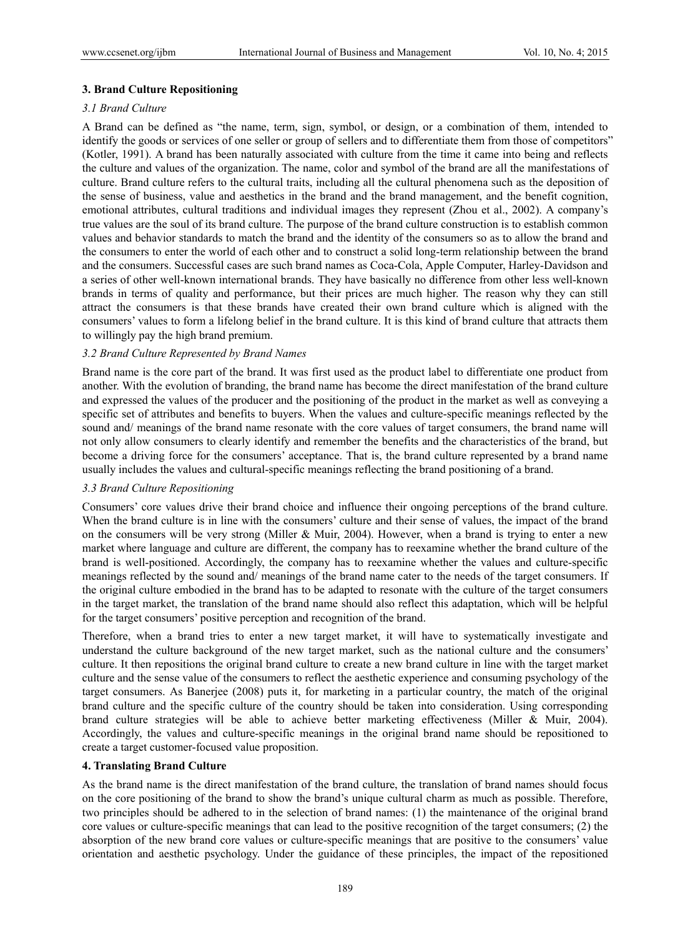#### **3. Brand Culture Repositioning**

# *3.1 Brand Culture*

A Brand can be defined as "the name, term, sign, symbol, or design, or a combination of them, intended to identify the goods or services of one seller or group of sellers and to differentiate them from those of competitors" (Kotler, 1991). A brand has been naturally associated with culture from the time it came into being and reflects the culture and values of the organization. The name, color and symbol of the brand are all the manifestations of culture. Brand culture refers to the cultural traits, including all the cultural phenomena such as the deposition of the sense of business, value and aesthetics in the brand and the brand management, and the benefit cognition, emotional attributes, cultural traditions and individual images they represent (Zhou et al., 2002). A company's true values are the soul of its brand culture. The purpose of the brand culture construction is to establish common values and behavior standards to match the brand and the identity of the consumers so as to allow the brand and the consumers to enter the world of each other and to construct a solid long-term relationship between the brand and the consumers. Successful cases are such brand names as Coca-Cola, Apple Computer, Harley-Davidson and a series of other well-known international brands. They have basically no difference from other less well-known brands in terms of quality and performance, but their prices are much higher. The reason why they can still attract the consumers is that these brands have created their own brand culture which is aligned with the consumers' values to form a lifelong belief in the brand culture. It is this kind of brand culture that attracts them to willingly pay the high brand premium.

#### *3.2 Brand Culture Represented by Brand Names*

Brand name is the core part of the brand. It was first used as the product label to differentiate one product from another. With the evolution of branding, the brand name has become the direct manifestation of the brand culture and expressed the values of the producer and the positioning of the product in the market as well as conveying a specific set of attributes and benefits to buyers. When the values and culture-specific meanings reflected by the sound and/ meanings of the brand name resonate with the core values of target consumers, the brand name will not only allow consumers to clearly identify and remember the benefits and the characteristics of the brand, but become a driving force for the consumers' acceptance. That is, the brand culture represented by a brand name usually includes the values and cultural-specific meanings reflecting the brand positioning of a brand.

## *3.3 Brand Culture Repositioning*

Consumers' core values drive their brand choice and influence their ongoing perceptions of the brand culture. When the brand culture is in line with the consumers' culture and their sense of values, the impact of the brand on the consumers will be very strong (Miller & Muir, 2004). However, when a brand is trying to enter a new market where language and culture are different, the company has to reexamine whether the brand culture of the brand is well-positioned. Accordingly, the company has to reexamine whether the values and culture-specific meanings reflected by the sound and/ meanings of the brand name cater to the needs of the target consumers. If the original culture embodied in the brand has to be adapted to resonate with the culture of the target consumers in the target market, the translation of the brand name should also reflect this adaptation, which will be helpful for the target consumers' positive perception and recognition of the brand.

Therefore, when a brand tries to enter a new target market, it will have to systematically investigate and understand the culture background of the new target market, such as the national culture and the consumers' culture. It then repositions the original brand culture to create a new brand culture in line with the target market culture and the sense value of the consumers to reflect the aesthetic experience and consuming psychology of the target consumers. As Banerjee (2008) puts it, for marketing in a particular country, the match of the original brand culture and the specific culture of the country should be taken into consideration. Using corresponding brand culture strategies will be able to achieve better marketing effectiveness (Miller & Muir, 2004). Accordingly, the values and culture-specific meanings in the original brand name should be repositioned to create a target customer-focused value proposition.

#### **4. Translating Brand Culture**

As the brand name is the direct manifestation of the brand culture, the translation of brand names should focus on the core positioning of the brand to show the brand's unique cultural charm as much as possible. Therefore, two principles should be adhered to in the selection of brand names: (1) the maintenance of the original brand core values or culture-specific meanings that can lead to the positive recognition of the target consumers; (2) the absorption of the new brand core values or culture-specific meanings that are positive to the consumers' value orientation and aesthetic psychology. Under the guidance of these principles, the impact of the repositioned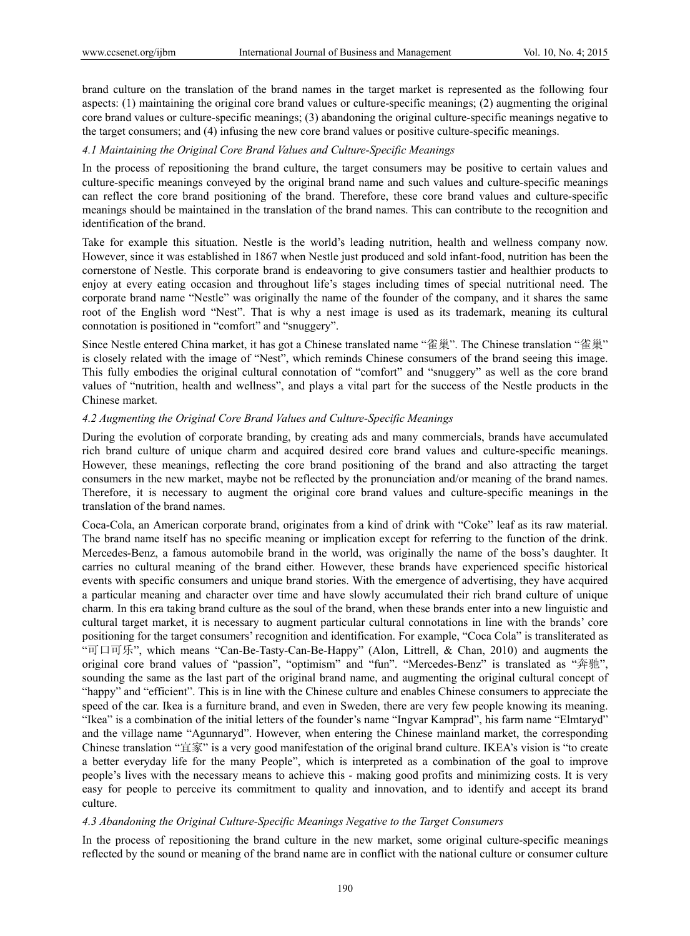brand culture on the translation of the brand names in the target market is represented as the following four aspects: (1) maintaining the original core brand values or culture-specific meanings; (2) augmenting the original core brand values or culture-specific meanings; (3) abandoning the original culture-specific meanings negative to the target consumers; and (4) infusing the new core brand values or positive culture-specific meanings.

#### *4.1 Maintaining the Original Core Brand Values and Culture-Specific Meanings*

In the process of repositioning the brand culture, the target consumers may be positive to certain values and culture-specific meanings conveyed by the original brand name and such values and culture-specific meanings can reflect the core brand positioning of the brand. Therefore, these core brand values and culture-specific meanings should be maintained in the translation of the brand names. This can contribute to the recognition and identification of the brand.

Take for example this situation. Nestle is the world's leading nutrition, health and wellness company now. However, since it was established in 1867 when Nestle just produced and sold infant-food, nutrition has been the cornerstone of Nestle. This corporate brand is endeavoring to give consumers tastier and healthier products to enjoy at every eating occasion and throughout life's stages including times of special nutritional need. The corporate brand name "Nestle" was originally the name of the founder of the company, and it shares the same root of the English word "Nest". That is why a nest image is used as its trademark, meaning its cultural connotation is positioned in "comfort" and "snuggery".

Since Nestle entered China market, it has got a Chinese translated name "雀巢". The Chinese translation "雀巢" is closely related with the image of "Nest", which reminds Chinese consumers of the brand seeing this image. This fully embodies the original cultural connotation of "comfort" and "snuggery" as well as the core brand values of "nutrition, health and wellness", and plays a vital part for the success of the Nestle products in the Chinese market.

#### *4.2 Augmenting the Original Core Brand Values and Culture-Specific Meanings*

During the evolution of corporate branding, by creating ads and many commercials, brands have accumulated rich brand culture of unique charm and acquired desired core brand values and culture-specific meanings. However, these meanings, reflecting the core brand positioning of the brand and also attracting the target consumers in the new market, maybe not be reflected by the pronunciation and/or meaning of the brand names. Therefore, it is necessary to augment the original core brand values and culture-specific meanings in the translation of the brand names.

Coca-Cola, an American corporate brand, originates from a kind of drink with "Coke" leaf as its raw material. The brand name itself has no specific meaning or implication except for referring to the function of the drink. Mercedes-Benz, a famous automobile brand in the world, was originally the name of the boss's daughter. It carries no cultural meaning of the brand either. However, these brands have experienced specific historical events with specific consumers and unique brand stories. With the emergence of advertising, they have acquired a particular meaning and character over time and have slowly accumulated their rich brand culture of unique charm. In this era taking brand culture as the soul of the brand, when these brands enter into a new linguistic and cultural target market, it is necessary to augment particular cultural connotations in line with the brands' core positioning for the target consumers' recognition and identification. For example, "Coca Cola" is transliterated as "可口可乐", which means "Can-Be-Tasty-Can-Be-Happy" (Alon, Littrell, & Chan, 2010) and augments the original core brand values of "passion", "optimism" and "fun". "Mercedes-Benz" is translated as "奔驰", sounding the same as the last part of the original brand name, and augmenting the original cultural concept of "happy" and "efficient". This is in line with the Chinese culture and enables Chinese consumers to appreciate the speed of the car. Ikea is a furniture brand, and even in Sweden, there are very few people knowing its meaning. "Ikea" is a combination of the initial letters of the founder's name "Ingvar Kamprad", his farm name "Elmtaryd" and the village name "Agunnaryd". However, when entering the Chinese mainland market, the corresponding Chinese translation "宜家" is a very good manifestation of the original brand culture. IKEA's vision is "to create a better everyday life for the many People", which is interpreted as a combination of the goal to improve people's lives with the necessary means to achieve this - making good profits and minimizing costs. It is very easy for people to perceive its commitment to quality and innovation, and to identify and accept its brand culture.

#### *4.3 Abandoning the Original Culture-Specific Meanings Negative to the Target Consumers*

In the process of repositioning the brand culture in the new market, some original culture-specific meanings reflected by the sound or meaning of the brand name are in conflict with the national culture or consumer culture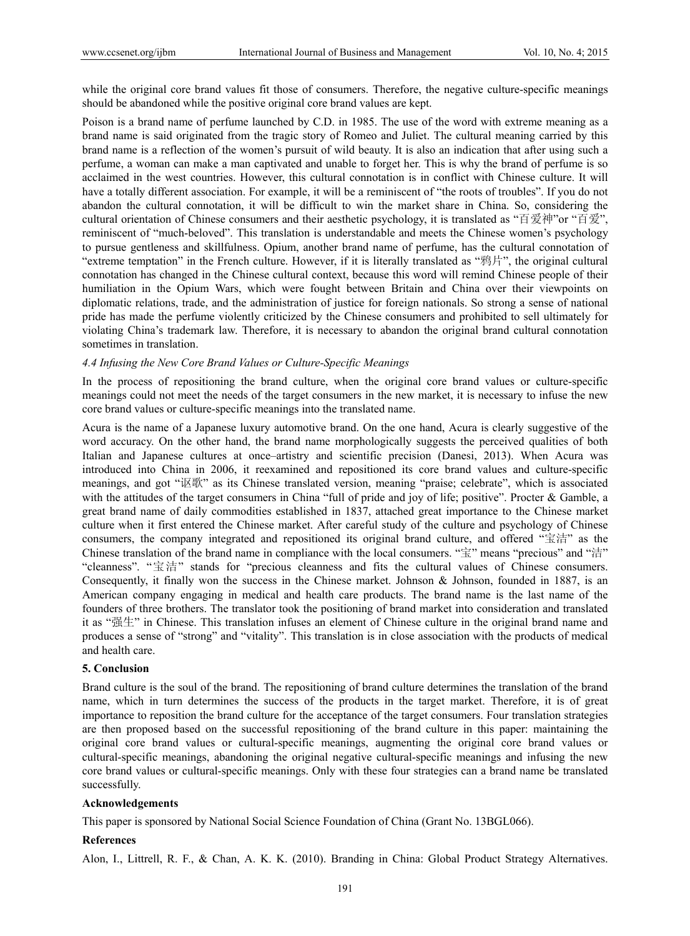while the original core brand values fit those of consumers. Therefore, the negative culture-specific meanings should be abandoned while the positive original core brand values are kept.

Poison is a brand name of perfume launched by C.D. in 1985. The use of the word with extreme meaning as a brand name is said originated from the tragic story of Romeo and Juliet. The cultural meaning carried by this brand name is a reflection of the women's pursuit of wild beauty. It is also an indication that after using such a perfume, a woman can make a man captivated and unable to forget her. This is why the brand of perfume is so acclaimed in the west countries. However, this cultural connotation is in conflict with Chinese culture. It will have a totally different association. For example, it will be a reminiscent of "the roots of troubles". If you do not abandon the cultural connotation, it will be difficult to win the market share in China. So, considering the cultural orientation of Chinese consumers and their aesthetic psychology, it is translated as "百爱神"or "百爱", reminiscent of "much-beloved". This translation is understandable and meets the Chinese women's psychology to pursue gentleness and skillfulness. Opium, another brand name of perfume, has the cultural connotation of "extreme temptation" in the French culture. However, if it is literally translated as "鸦片", the original cultural connotation has changed in the Chinese cultural context, because this word will remind Chinese people of their humiliation in the Opium Wars, which were fought between Britain and China over their viewpoints on diplomatic relations, trade, and the administration of justice for foreign nationals. So strong a sense of national pride has made the perfume violently criticized by the Chinese consumers and prohibited to sell ultimately for violating China's trademark law. Therefore, it is necessary to abandon the original brand cultural connotation sometimes in translation.

#### *4.4 Infusing the New Core Brand Values or Culture-Specific Meanings*

In the process of repositioning the brand culture, when the original core brand values or culture-specific meanings could not meet the needs of the target consumers in the new market, it is necessary to infuse the new core brand values or culture-specific meanings into the translated name.

Acura is the name of a Japanese luxury automotive brand. On the one hand, Acura is clearly suggestive of the word accuracy. On the other hand, the brand name morphologically suggests the perceived qualities of both Italian and Japanese cultures at once–artistry and scientific precision (Danesi, 2013). When Acura was introduced into China in 2006, it reexamined and repositioned its core brand values and culture-specific meanings, and got "讴歌" as its Chinese translated version, meaning "praise; celebrate", which is associated with the attitudes of the target consumers in China "full of pride and joy of life; positive". Procter & Gamble, a great brand name of daily commodities established in 1837, attached great importance to the Chinese market culture when it first entered the Chinese market. After careful study of the culture and psychology of Chinese consumers, the company integrated and repositioned its original brand culture, and offered "宝洁" as the Chinese translation of the brand name in compliance with the local consumers. "宝" means "precious" and "洁" "cleanness". "宝洁" stands for "precious cleanness and fits the cultural values of Chinese consumers. Consequently, it finally won the success in the Chinese market. Johnson & Johnson, founded in 1887, is an American company engaging in medical and health care products. The brand name is the last name of the founders of three brothers. The translator took the positioning of brand market into consideration and translated it as "强生" in Chinese. This translation infuses an element of Chinese culture in the original brand name and produces a sense of "strong" and "vitality". This translation is in close association with the products of medical and health care.

#### **5. Conclusion**

Brand culture is the soul of the brand. The repositioning of brand culture determines the translation of the brand name, which in turn determines the success of the products in the target market. Therefore, it is of great importance to reposition the brand culture for the acceptance of the target consumers. Four translation strategies are then proposed based on the successful repositioning of the brand culture in this paper: maintaining the original core brand values or cultural-specific meanings, augmenting the original core brand values or cultural-specific meanings, abandoning the original negative cultural-specific meanings and infusing the new core brand values or cultural-specific meanings. Only with these four strategies can a brand name be translated successfully.

#### **Acknowledgements**

This paper is sponsored by National Social Science Foundation of China (Grant No. 13BGL066).

#### **References**

Alon, I., Littrell, R. F., & Chan, A. K. K. (2010). Branding in China: Global Product Strategy Alternatives.